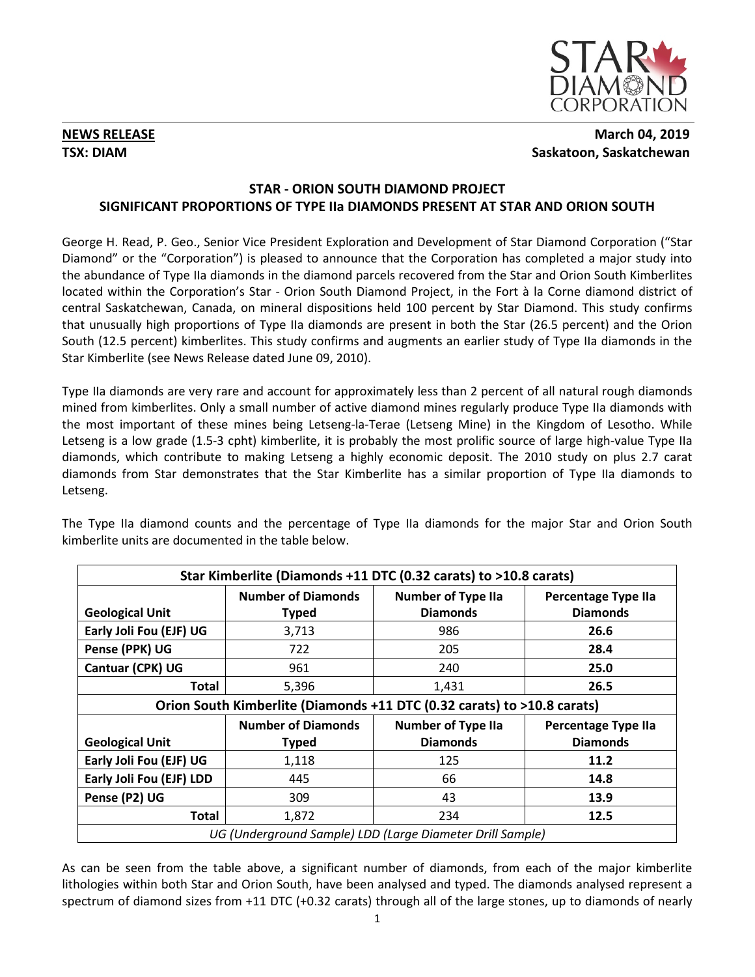

# **NEWS RELEASE March 04, 2019 TSX: DIAM** Saskatoon, Saskatchewan

# **STAR - ORION SOUTH DIAMOND PROJECT SIGNIFICANT PROPORTIONS OF TYPE IIa DIAMONDS PRESENT AT STAR AND ORION SOUTH**

George H. Read, P. Geo., Senior Vice President Exploration and Development of Star Diamond Corporation ("Star Diamond" or the "Corporation") is pleased to announce that the Corporation has completed a major study into the abundance of Type IIa diamonds in the diamond parcels recovered from the Star and Orion South Kimberlites located within the Corporation's Star - Orion South Diamond Project, in the Fort à la Corne diamond district of central Saskatchewan, Canada, on mineral dispositions held 100 percent by Star Diamond. This study confirms that unusually high proportions of Type IIa diamonds are present in both the Star (26.5 percent) and the Orion South (12.5 percent) kimberlites. This study confirms and augments an earlier study of Type IIa diamonds in the Star Kimberlite (see News Release dated June 09, 2010).

Type IIa diamonds are very rare and account for approximately less than 2 percent of all natural rough diamonds mined from kimberlites. Only a small number of active diamond mines regularly produce Type IIa diamonds with the most important of these mines being Letseng-la-Terae (Letseng Mine) in the Kingdom of Lesotho. While Letseng is a low grade (1.5-3 cpht) kimberlite, it is probably the most prolific source of large high-value Type IIa diamonds, which contribute to making Letseng a highly economic deposit. The 2010 study on plus 2.7 carat diamonds from Star demonstrates that the Star Kimberlite has a similar proportion of Type IIa diamonds to Letseng.

The Type IIa diamond counts and the percentage of Type IIa diamonds for the major Star and Orion South kimberlite units are documented in the table below.

| Star Kimberlite (Diamonds +11 DTC (0.32 carats) to >10.8 carats)        |                           |                           |                            |
|-------------------------------------------------------------------------|---------------------------|---------------------------|----------------------------|
|                                                                         | <b>Number of Diamonds</b> | <b>Number of Type IIa</b> | <b>Percentage Type IIa</b> |
| <b>Geological Unit</b>                                                  | <b>Typed</b>              | <b>Diamonds</b>           | <b>Diamonds</b>            |
| Early Joli Fou (EJF) UG                                                 | 3,713                     | 986                       | 26.6                       |
| Pense (PPK) UG                                                          | 722                       | 205                       | 28.4                       |
| Cantuar (CPK) UG                                                        | 961                       | 240                       | 25.0                       |
| <b>Total</b>                                                            | 5,396                     | 1,431                     | 26.5                       |
| Orion South Kimberlite (Diamonds +11 DTC (0.32 carats) to >10.8 carats) |                           |                           |                            |
|                                                                         | <b>Number of Diamonds</b> | <b>Number of Type IIa</b> | <b>Percentage Type IIa</b> |
| <b>Geological Unit</b>                                                  | <b>Typed</b>              | <b>Diamonds</b>           | <b>Diamonds</b>            |
| Early Joli Fou (EJF) UG                                                 | 1,118                     | 125                       | 11.2                       |
| Early Joli Fou (EJF) LDD                                                | 445                       | 66                        | 14.8                       |
| Pense (P2) UG                                                           | 309                       | 43                        | 13.9                       |
| <b>Total</b>                                                            | 1,872                     | 234                       | 12.5                       |
| UG (Underground Sample) LDD (Large Diameter Drill Sample)               |                           |                           |                            |

As can be seen from the table above, a significant number of diamonds, from each of the major kimberlite lithologies within both Star and Orion South, have been analysed and typed. The diamonds analysed represent a spectrum of diamond sizes from +11 DTC (+0.32 carats) through all of the large stones, up to diamonds of nearly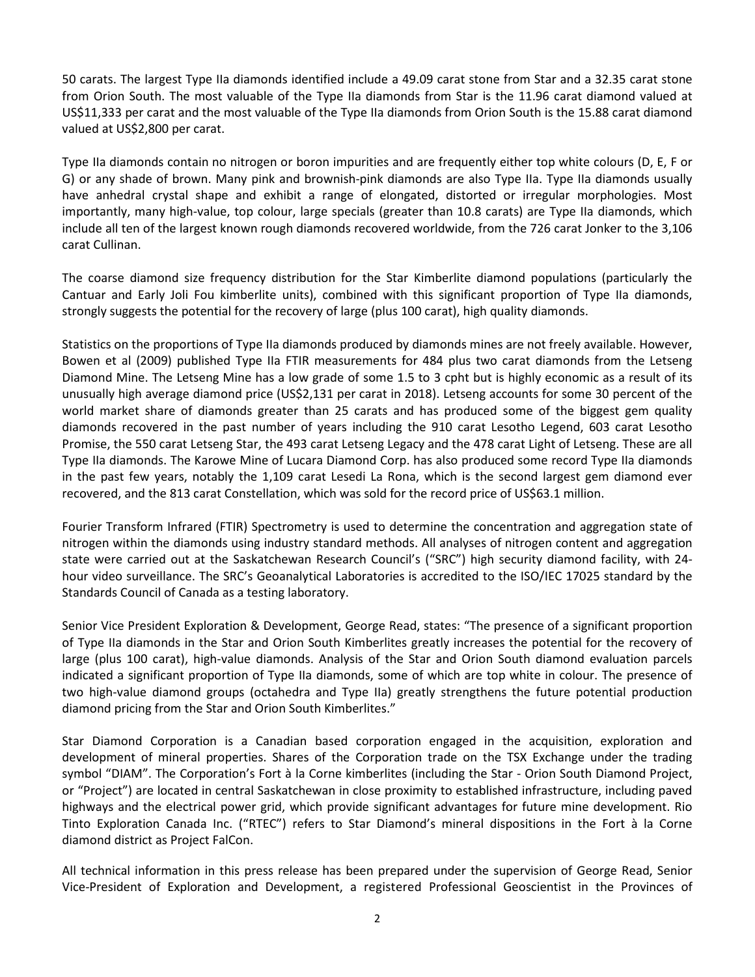50 carats. The largest Type IIa diamonds identified include a 49.09 carat stone from Star and a 32.35 carat stone from Orion South. The most valuable of the Type IIa diamonds from Star is the 11.96 carat diamond valued at US\$11,333 per carat and the most valuable of the Type IIa diamonds from Orion South is the 15.88 carat diamond valued at US\$2,800 per carat.

Type IIa diamonds contain no nitrogen or boron impurities and are frequently either top white colours (D, E, F or G) or any shade of brown. Many pink and brownish-pink diamonds are also Type IIa. Type IIa diamonds usually have anhedral crystal shape and exhibit a range of elongated, distorted or irregular morphologies. Most importantly, many high-value, top colour, large specials (greater than 10.8 carats) are Type IIa diamonds, which include all ten of the largest known rough diamonds recovered worldwide, from the 726 carat Jonker to the 3,106 carat Cullinan.

The coarse diamond size frequency distribution for the Star Kimberlite diamond populations (particularly the Cantuar and Early Joli Fou kimberlite units), combined with this significant proportion of Type IIa diamonds, strongly suggests the potential for the recovery of large (plus 100 carat), high quality diamonds.

Statistics on the proportions of Type IIa diamonds produced by diamonds mines are not freely available. However, Bowen et al (2009) published Type IIa FTIR measurements for 484 plus two carat diamonds from the Letseng Diamond Mine. The Letseng Mine has a low grade of some 1.5 to 3 cpht but is highly economic as a result of its unusually high average diamond price (US\$2,131 per carat in 2018). Letseng accounts for some 30 percent of the world market share of diamonds greater than 25 carats and has produced some of the biggest gem quality diamonds recovered in the past number of years including the 910 carat Lesotho Legend, 603 carat Lesotho Promise, the 550 carat Letseng Star, the 493 carat Letseng Legacy and the 478 carat Light of Letseng. These are all Type IIa diamonds. The Karowe Mine of Lucara Diamond Corp. has also produced some record Type IIa diamonds in the past few years, notably the 1,109 carat Lesedi La Rona, which is the second largest gem diamond ever recovered, and the 813 carat Constellation, which was sold for the record price of US\$63.1 million.

Fourier Transform Infrared (FTIR) Spectrometry is used to determine the concentration and aggregation state of nitrogen within the diamonds using industry standard methods. All analyses of nitrogen content and aggregation state were carried out at the Saskatchewan Research Council's ("SRC") high security diamond facility, with 24 hour video surveillance. The SRC's Geoanalytical Laboratories is accredited to the ISO/IEC 17025 standard by the Standards Council of Canada as a testing laboratory.

Senior Vice President Exploration & Development, George Read, states: "The presence of a significant proportion of Type IIa diamonds in the Star and Orion South Kimberlites greatly increases the potential for the recovery of large (plus 100 carat), high-value diamonds. Analysis of the Star and Orion South diamond evaluation parcels indicated a significant proportion of Type IIa diamonds, some of which are top white in colour. The presence of two high-value diamond groups (octahedra and Type IIa) greatly strengthens the future potential production diamond pricing from the Star and Orion South Kimberlites."

Star Diamond Corporation is a Canadian based corporation engaged in the acquisition, exploration and development of mineral properties. Shares of the Corporation trade on the TSX Exchange under the trading symbol "DIAM". The Corporation's Fort à la Corne kimberlites (including the Star - Orion South Diamond Project, or "Project") are located in central Saskatchewan in close proximity to established infrastructure, including paved highways and the electrical power grid, which provide significant advantages for future mine development. Rio Tinto Exploration Canada Inc. ("RTEC") refers to Star Diamond's mineral dispositions in the Fort à la Corne diamond district as Project FalCon.

All technical information in this press release has been prepared under the supervision of George Read, Senior Vice-President of Exploration and Development, a registered Professional Geoscientist in the Provinces of